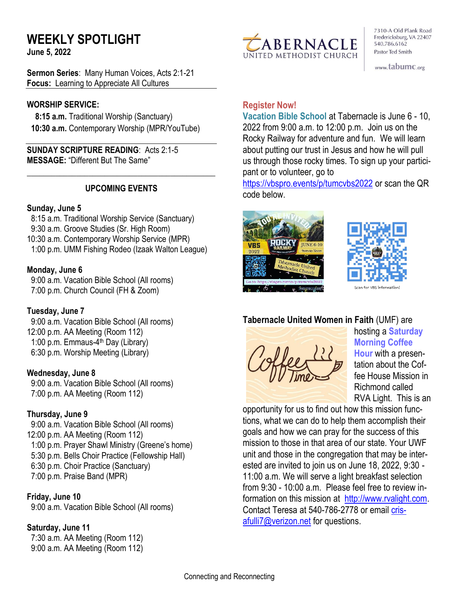# **WEEKLY SPOTLIGHT**

**June 5, 2022** 

**Sermon Series**: Many Human Voices, Acts 2:1-21 **Focus:** Learning to Appreciate All Cultures

#### **WORSHIP SERVICE:**

 **8:15 a.m.** Traditional Worship (Sanctuary)  **10:30 a.m.** Contemporary Worship (MPR/YouTube)

**SUNDAY SCRIPTURE READING**: Acts 2:1-5 **MESSAGE:** "Different But The Same"

#### **UPCOMING EVENTS**

\_\_\_\_\_\_\_\_\_\_\_\_\_\_\_\_\_\_\_\_\_\_\_\_\_\_\_\_\_\_\_\_\_\_\_\_\_\_\_\_\_\_\_\_\_\_

#### **Sunday, June 5**

8:15 a.m. Traditional Worship Service (Sanctuary) 9:30 a.m. Groove Studies (Sr. High Room) 10:30 a.m. Contemporary Worship Service (MPR) 1:00 p.m. UMM Fishing Rodeo (Izaak Walton League)

#### **Monday, June 6**

 9:00 a.m. Vacation Bible School (All rooms) 7:00 p.m. Church Council (FH & Zoom)

#### **Tuesday, June 7**

 9:00 a.m. Vacation Bible School (All rooms) 12:00 p.m. AA Meeting (Room 112) 1:00 p.m. Emmaus-4<sup>th</sup> Day (Library) 6:30 p.m. Worship Meeting (Library)

#### **Wednesday, June 8**

 9:00 a.m. Vacation Bible School (All rooms) 7:00 p.m. AA Meeting (Room 112)

#### **Thursday, June 9**

9:00 a.m. Vacation Bible School (All rooms) 12:00 p.m. AA Meeting (Room 112) 1:00 p.m. Prayer Shawl Ministry (Greene's home) 5:30 p.m. Bells Choir Practice (Fellowship Hall) 6:30 p.m. Choir Practice (Sanctuary) 7:00 p.m. Praise Band (MPR)

#### **Friday, June 10**

9:00 a.m. Vacation Bible School (All rooms)

#### **Saturday, June 11**

 7:30 a.m. AA Meeting (Room 112) 9:00 a.m. AA Meeting (Room 112)



7310-A Old Plank Road Fredericksburg, VA 22407 540.786.6162 Pastor Ted Smith

www.tabumc.org

#### **Register Now!**

**Vacation Bible School** at Tabernacle is June 6 - 10, 2022 from 9:00 a.m. to 12:00 p.m. Join us on the Rocky Railway for adventure and fun. We will learn about putting our trust in Jesus and how he will pull us through those rocky times. To sign up your participant or to volunteer, go to

<https://vbspro.events/p/tumcvbs2022> or scan the QR code below.





# **Tabernacle United Women in Faith** (UMF) are



hosting a **Saturday Morning Coffee Hour** with a presentation about the Coffee House Mission in Richmond called RVA Light. This is an

opportunity for us to find out how this mission functions, what we can do to help them accomplish their goals and how we can pray for the success of this mission to those in that area of our state. Your UWF unit and those in the congregation that may be interested are invited to join us on June 18, 2022, 9:30 - 11:00 a.m. We will serve a light breakfast selection from 9:30 - 10:00 a.m. Please feel free to review information on this mission at [http://www.rvalight.com.](http://www.rvalight.com/) Contact Teresa at 540-786-2778 or email [cris](mailto:crisafulli7@verizon.net)[afulli7@verizon.net](mailto:crisafulli7@verizon.net) for questions.